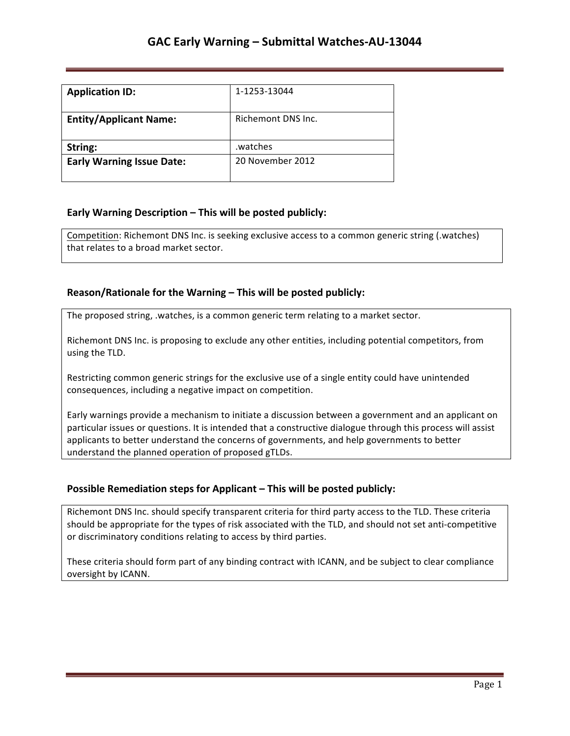| <b>Application ID:</b>           | 1-1253-13044       |
|----------------------------------|--------------------|
| <b>Entity/Applicant Name:</b>    | Richemont DNS Inc. |
| String:                          | watches.           |
| <b>Early Warning Issue Date:</b> | 20 November 2012   |

## **Early Warning Description – This will be posted publicly:**

Competition: Richemont DNS Inc. is seeking exclusive access to a common generic string (.watches) that relates to a broad market sector.

### **Reason/Rationale for the Warning – This will be posted publicly:**

The proposed string, .watches, is a common generic term relating to a market sector.

Richemont DNS Inc. is proposing to exclude any other entities, including potential competitors, from using the TLD.

Restricting common generic strings for the exclusive use of a single entity could have unintended consequences, including a negative impact on competition.

Early warnings provide a mechanism to initiate a discussion between a government and an applicant on particular issues or questions. It is intended that a constructive dialogue through this process will assist applicants to better understand the concerns of governments, and help governments to better understand the planned operation of proposed gTLDs.

## **Possible Remediation steps for Applicant - This will be posted publicly:**

Richemont DNS Inc. should specify transparent criteria for third party access to the TLD. These criteria should be appropriate for the types of risk associated with the TLD, and should not set anti-competitive or discriminatory conditions relating to access by third parties.

These criteria should form part of any binding contract with ICANN, and be subject to clear compliance oversight by ICANN.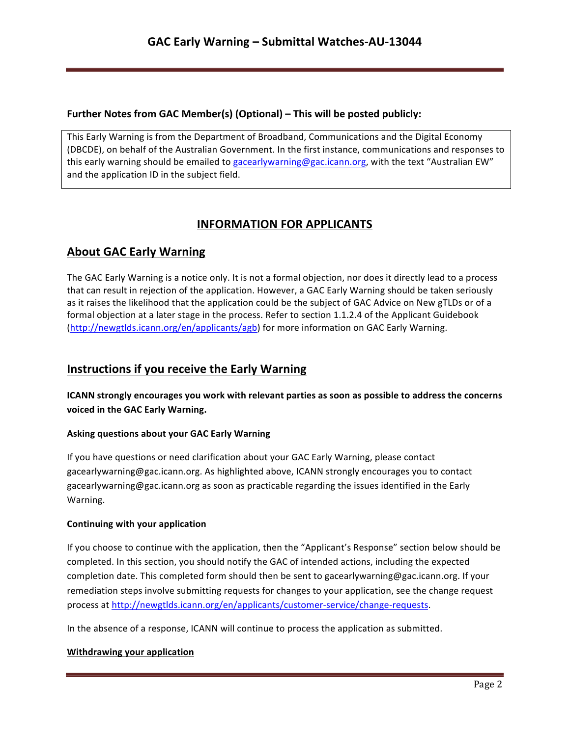## **Further Notes from GAC Member(s) (Optional) – This will be posted publicly:**

This Early Warning is from the Department of Broadband, Communications and the Digital Economy (DBCDE), on behalf of the Australian Government. In the first instance, communications and responses to this early warning should be emailed to gacearlywarning@gac.icann.org, with the text "Australian EW" and the application ID in the subject field.

# **INFORMATION FOR APPLICANTS**

# **About GAC Early Warning**

The GAC Early Warning is a notice only. It is not a formal objection, nor does it directly lead to a process that can result in rejection of the application. However, a GAC Early Warning should be taken seriously as it raises the likelihood that the application could be the subject of GAC Advice on New gTLDs or of a formal objection at a later stage in the process. Refer to section 1.1.2.4 of the Applicant Guidebook (http://newgtlds.icann.org/en/applicants/agb) for more information on GAC Early Warning.

## **Instructions if you receive the Early Warning**

**ICANN** strongly encourages you work with relevant parties as soon as possible to address the concerns voiced in the GAC Early Warning.

### **Asking questions about your GAC Early Warning**

If you have questions or need clarification about your GAC Early Warning, please contact gacearlywarning@gac.icann.org. As highlighted above, ICANN strongly encourages you to contact gacearlywarning@gac.icann.org as soon as practicable regarding the issues identified in the Early Warning. 

### **Continuing with your application**

If you choose to continue with the application, then the "Applicant's Response" section below should be completed. In this section, you should notify the GAC of intended actions, including the expected completion date. This completed form should then be sent to gacearlywarning@gac.icann.org. If your remediation steps involve submitting requests for changes to your application, see the change request process at http://newgtlds.icann.org/en/applicants/customer-service/change-requests.

In the absence of a response, ICANN will continue to process the application as submitted.

### **Withdrawing your application**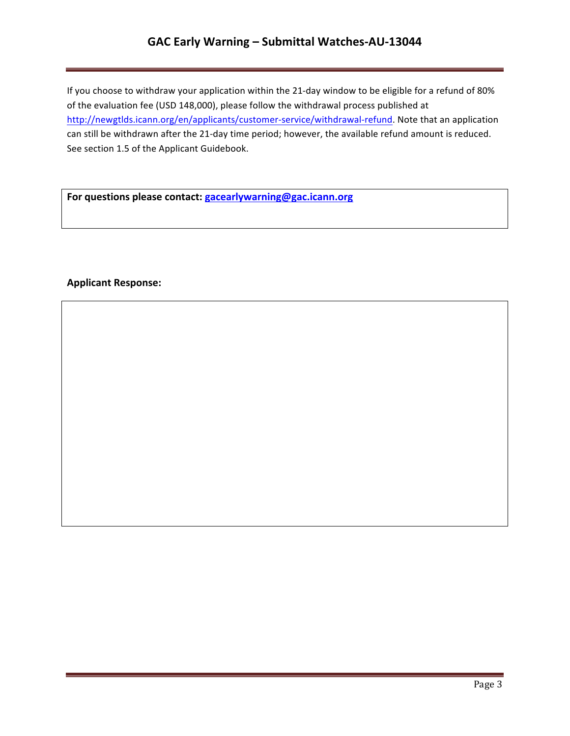# **GAC Early Warning – Submittal Watches-AU-13044**

If you choose to withdraw your application within the 21-day window to be eligible for a refund of 80% of the evaluation fee (USD 148,000), please follow the withdrawal process published at http://newgtlds.icann.org/en/applicants/customer-service/withdrawal-refund. Note that an application can still be withdrawn after the 21-day time period; however, the available refund amount is reduced. See section 1.5 of the Applicant Guidebook.

For questions please contact: **gacearlywarning@gac.icann.org** 

### **Applicant Response:**